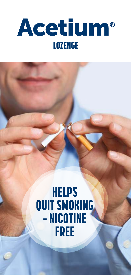

# **HELPS QUIT SMOKING** - NICOTINE **FREE**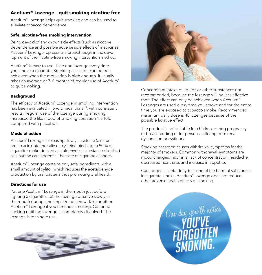### **Acetium® Lozenge – quit smoking nicotine free**

Acetium® Lozenge helps quit smoking and can be used to alleviate tobacco dependence.

#### **Safe, nicotine-free smoking intervention**

Being devoid of any known side effects (such as nicotine dependence and possible adverse side effects of medicines), Acetium® Lozenge represents a breakthrough in the development of the nicotine-free smoking intervention method.

Acetium® is easy to use: Take one lozenge every time you smoke a cigarette. Smoking cessation can be best achieved when the motivation is high enough. It usually takes an average of 3–6 months of regular use of Acetium® to quit smoking.

#### **Background**

The efficacy of Acetium® Lozenge in smoking intervention has been evaluated in two clinical trials<sup>1,2</sup>, with consistent results. Regular use of the lozenge during smoking increased the likelihood of smoking cessation 1.5-fold compared with placebo<sup>2</sup> .

#### **Mode of action**

Acetium® Lozenge is releasing slowly Lcysteine (a natural amino acid) into the saliva. L-cysteine binds up to 90 % of cigarette smoke-derived acetaldehyde, a substance classified as a human carcinogen $4,5$ . The taste of cigarette changes.

Acetium® Lozenge contains only safe ingredients with a small amount of xylitol, which reduces the acetaldehyde production by oral bacteria thus promoting oral health.

#### **Directions for use**

Put one Acetium® Lozenge in the mouth just before lighting a cigarette. Let the lozenge dissolve slowly in the mouth during smoking. Do not chew. Take another Acetium® Lozenge if you continue smoking. Continue sucking until the lozenge is completely dissolved. The lozenge is for single use.





Concomitant intake of liquids or other substances not recommended, because the lozenge will be less effective then. The effect can only be achieved when Acetium® Lozenges are used every time you smoke and for the entire time you are exposed to tobacco smoke. Recommended maximum daily dose is 40 lozenges because of the possible laxative effect.

The product is not suitable for children, during pregnancy or breast-feeding or for persons suffering from renal dysfunction or cystinuria.

Smoking cessation causes withdrawal symptoms for the majority of smokers. Common withdrawal symptoms are mood changes, insomnia, lack of concentration, headache, decreased heart rate, and increase in appetite.

Carcinogenic acetaldehyde is one of the harmful substances in cigarette smoke. Acetium® Lozenge does not reduce other adverse health effects of smoking.